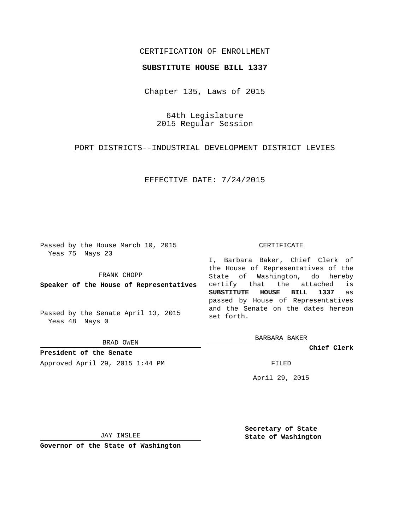## CERTIFICATION OF ENROLLMENT

## **SUBSTITUTE HOUSE BILL 1337**

Chapter 135, Laws of 2015

64th Legislature 2015 Regular Session

PORT DISTRICTS--INDUSTRIAL DEVELOPMENT DISTRICT LEVIES

EFFECTIVE DATE: 7/24/2015

Passed by the House March 10, 2015 Yeas 75 Nays 23

FRANK CHOPP

**Speaker of the House of Representatives**

Passed by the Senate April 13, 2015 Yeas 48 Nays 0

BRAD OWEN

**President of the Senate** Approved April 29, 2015 1:44 PM FILED

## CERTIFICATE

I, Barbara Baker, Chief Clerk of the House of Representatives of the State of Washington, do hereby certify that the attached is **SUBSTITUTE HOUSE BILL 1337** as passed by House of Representatives and the Senate on the dates hereon set forth.

BARBARA BAKER

**Chief Clerk**

April 29, 2015

JAY INSLEE

**Governor of the State of Washington**

**Secretary of State State of Washington**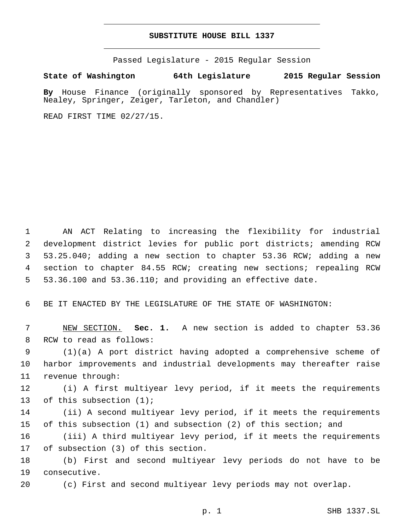## **SUBSTITUTE HOUSE BILL 1337**

Passed Legislature - 2015 Regular Session

**State of Washington 64th Legislature 2015 Regular Session**

**By** House Finance (originally sponsored by Representatives Takko, Nealey, Springer, Zeiger, Tarleton, and Chandler)

READ FIRST TIME 02/27/15.

 AN ACT Relating to increasing the flexibility for industrial development district levies for public port districts; amending RCW 53.25.040; adding a new section to chapter 53.36 RCW; adding a new section to chapter 84.55 RCW; creating new sections; repealing RCW 53.36.100 and 53.36.110; and providing an effective date.

6 BE IT ENACTED BY THE LEGISLATURE OF THE STATE OF WASHINGTON:

7 NEW SECTION. **Sec. 1.** A new section is added to chapter 53.36 8 RCW to read as follows:

9 (1)(a) A port district having adopted a comprehensive scheme of 10 harbor improvements and industrial developments may thereafter raise 11 revenue through:

12 (i) A first multiyear levy period, if it meets the requirements 13 of this subsection  $(1)$ ;

14 (ii) A second multiyear levy period, if it meets the requirements 15 of this subsection (1) and subsection (2) of this section; and

16 (iii) A third multiyear levy period, if it meets the requirements 17 of subsection (3) of this section.

18 (b) First and second multiyear levy periods do not have to be 19 consecutive.

20 (c) First and second multiyear levy periods may not overlap.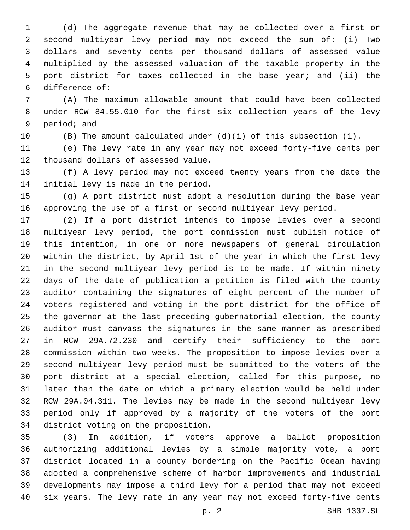(d) The aggregate revenue that may be collected over a first or second multiyear levy period may not exceed the sum of: (i) Two dollars and seventy cents per thousand dollars of assessed value multiplied by the assessed valuation of the taxable property in the port district for taxes collected in the base year; and (ii) the difference of:6

 (A) The maximum allowable amount that could have been collected under RCW 84.55.010 for the first six collection years of the levy 9 period; and

(B) The amount calculated under (d)(i) of this subsection (1).

 (e) The levy rate in any year may not exceed forty-five cents per 12 thousand dollars of assessed value.

 (f) A levy period may not exceed twenty years from the date the 14 initial levy is made in the period.

 (g) A port district must adopt a resolution during the base year approving the use of a first or second multiyear levy period.

 (2) If a port district intends to impose levies over a second multiyear levy period, the port commission must publish notice of this intention, in one or more newspapers of general circulation within the district, by April 1st of the year in which the first levy in the second multiyear levy period is to be made. If within ninety days of the date of publication a petition is filed with the county auditor containing the signatures of eight percent of the number of voters registered and voting in the port district for the office of the governor at the last preceding gubernatorial election, the county auditor must canvass the signatures in the same manner as prescribed in RCW 29A.72.230 and certify their sufficiency to the port commission within two weeks. The proposition to impose levies over a second multiyear levy period must be submitted to the voters of the port district at a special election, called for this purpose, no later than the date on which a primary election would be held under RCW 29A.04.311. The levies may be made in the second multiyear levy period only if approved by a majority of the voters of the port 34 district voting on the proposition.

 (3) In addition, if voters approve a ballot proposition authorizing additional levies by a simple majority vote, a port district located in a county bordering on the Pacific Ocean having adopted a comprehensive scheme of harbor improvements and industrial developments may impose a third levy for a period that may not exceed six years. The levy rate in any year may not exceed forty-five cents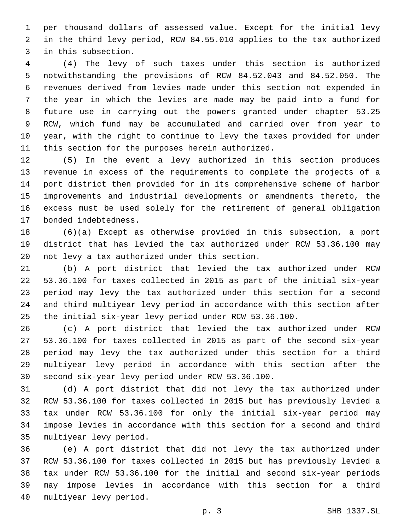per thousand dollars of assessed value. Except for the initial levy in the third levy period, RCW 84.55.010 applies to the tax authorized 3 in this subsection.

 (4) The levy of such taxes under this section is authorized notwithstanding the provisions of RCW 84.52.043 and 84.52.050. The revenues derived from levies made under this section not expended in the year in which the levies are made may be paid into a fund for future use in carrying out the powers granted under chapter 53.25 RCW, which fund may be accumulated and carried over from year to year, with the right to continue to levy the taxes provided for under 11 this section for the purposes herein authorized.

 (5) In the event a levy authorized in this section produces revenue in excess of the requirements to complete the projects of a port district then provided for in its comprehensive scheme of harbor improvements and industrial developments or amendments thereto, the excess must be used solely for the retirement of general obligation 17 bonded indebtedness.

 (6)(a) Except as otherwise provided in this subsection, a port district that has levied the tax authorized under RCW 53.36.100 may 20 not levy a tax authorized under this section.

 (b) A port district that levied the tax authorized under RCW 53.36.100 for taxes collected in 2015 as part of the initial six-year period may levy the tax authorized under this section for a second and third multiyear levy period in accordance with this section after the initial six-year levy period under RCW 53.36.100.

 (c) A port district that levied the tax authorized under RCW 53.36.100 for taxes collected in 2015 as part of the second six-year period may levy the tax authorized under this section for a third multiyear levy period in accordance with this section after the 30 second six-year levy period under RCW 53.36.100.

 (d) A port district that did not levy the tax authorized under RCW 53.36.100 for taxes collected in 2015 but has previously levied a tax under RCW 53.36.100 for only the initial six-year period may impose levies in accordance with this section for a second and third 35 multiyear levy period.

 (e) A port district that did not levy the tax authorized under RCW 53.36.100 for taxes collected in 2015 but has previously levied a tax under RCW 53.36.100 for the initial and second six-year periods may impose levies in accordance with this section for a third 40 multiyear levy period.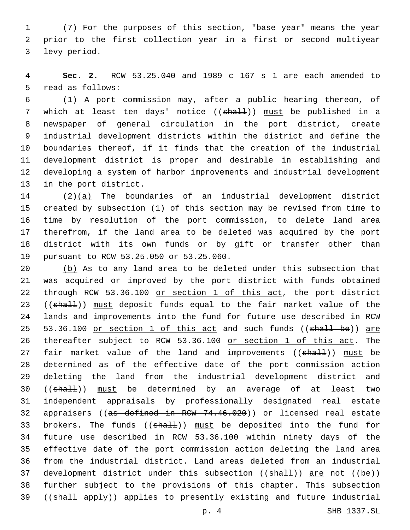1 (7) For the purposes of this section, "base year" means the year 2 prior to the first collection year in a first or second multiyear 3 levy period.

4 **Sec. 2.** RCW 53.25.040 and 1989 c 167 s 1 are each amended to 5 read as follows:

 (1) A port commission may, after a public hearing thereon, of 7 which at least ten days' notice ((shall)) must be published in a newspaper of general circulation in the port district, create industrial development districts within the district and define the boundaries thereof, if it finds that the creation of the industrial development district is proper and desirable in establishing and developing a system of harbor improvements and industrial development 13 in the port district.

 (2)(a) The boundaries of an industrial development district created by subsection (1) of this section may be revised from time to time by resolution of the port commission, to delete land area therefrom, if the land area to be deleted was acquired by the port district with its own funds or by gift or transfer other than 19 pursuant to RCW 53.25.050 or 53.25.060.

20 (b) As to any land area to be deleted under this subsection that 21 was acquired or improved by the port district with funds obtained 22 through RCW 53.36.100 or section 1 of this act, the port district 23 ((shall)) must deposit funds equal to the fair market value of the 24 lands and improvements into the fund for future use described in RCW 25 53.36.100 or section 1 of this act and such funds ((shall be)) are 26 thereafter subject to RCW 53.36.100 or section 1 of this act. The 27 fair market value of the land and improvements ((shall)) must be 28 determined as of the effective date of the port commission action 29 deleting the land from the industrial development district and 30 ((shall)) must be determined by an average of at least two 31 independent appraisals by professionally designated real estate 32 appraisers ((as defined in RCW 74.46.020)) or licensed real estate 33 brokers. The funds ((shall)) must be deposited into the fund for 34 future use described in RCW 53.36.100 within ninety days of the 35 effective date of the port commission action deleting the land area 36 from the industrial district. Land areas deleted from an industrial 37 development district under this subsection  $((shall))$  are not  $((be))$ 38 further subject to the provisions of this chapter. This subsection 39 ((shall apply)) applies to presently existing and future industrial

p. 4 SHB 1337.SL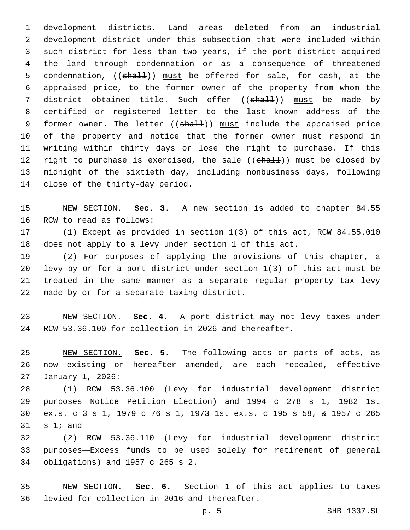development districts. Land areas deleted from an industrial development district under this subsection that were included within such district for less than two years, if the port district acquired the land through condemnation or as a consequence of threatened 5 condemnation, ((shall)) must be offered for sale, for cash, at the appraised price, to the former owner of the property from whom the 7 district obtained title. Such offer (( $\frac{1}{2}$ ) must be made by certified or registered letter to the last known address of the 9 former owner. The letter ((shall)) must include the appraised price of the property and notice that the former owner must respond in writing within thirty days or lose the right to purchase. If this 12 right to purchase is exercised, the sale ((shall)) must be closed by midnight of the sixtieth day, including nonbusiness days, following 14 close of the thirty-day period.

 NEW SECTION. **Sec. 3.** A new section is added to chapter 84.55 16 RCW to read as follows:

 (1) Except as provided in section 1(3) of this act, RCW 84.55.010 does not apply to a levy under section 1 of this act.

 (2) For purposes of applying the provisions of this chapter, a levy by or for a port district under section 1(3) of this act must be treated in the same manner as a separate regular property tax levy 22 made by or for a separate taxing district.

 NEW SECTION. **Sec. 4.** A port district may not levy taxes under RCW 53.36.100 for collection in 2026 and thereafter.

 NEW SECTION. **Sec. 5.** The following acts or parts of acts, as now existing or hereafter amended, are each repealed, effective January 1, 2026:

 (1) RCW 53.36.100 (Levy for industrial development district purposes—Notice—Petition—Election) and 1994 c 278 s 1, 1982 1st ex.s. c 3 s 1, 1979 c 76 s 1, 1973 1st ex.s. c 195 s 58, & 1957 c 265 s 1; and

 (2) RCW 53.36.110 (Levy for industrial development district purposes—Excess funds to be used solely for retirement of general obligations) and 1957 c 265 s 2.34

 NEW SECTION. **Sec. 6.** Section 1 of this act applies to taxes levied for collection in 2016 and thereafter.